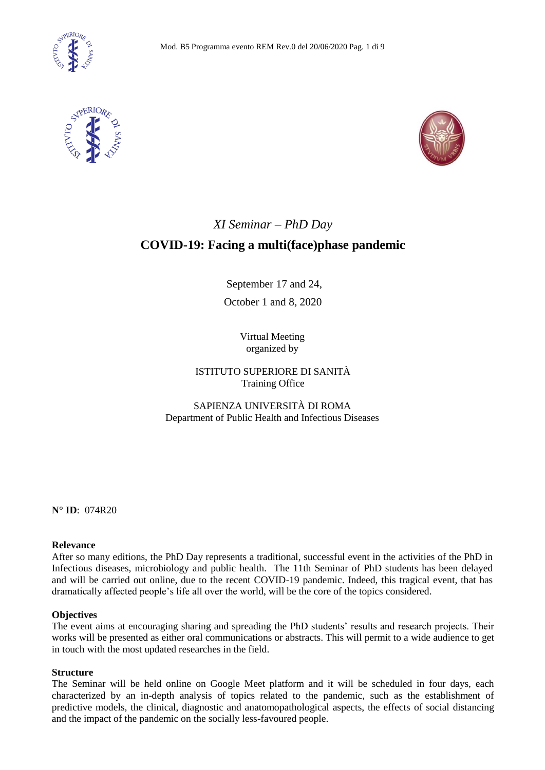





# *XI Seminar – PhD Day*

# **COVID-19: Facing a multi(face)phase pandemic**

September 17 and 24, October 1 and 8, 2020

> Virtual Meeting organized by

# ISTITUTO SUPERIORE DI SANITÀ Training Office

SAPIENZA UNIVERSITÀ DI ROMA Department of Public Health and Infectious Diseases

**N° ID**: 074R20

## **Relevance**

After so many editions, the PhD Day represents a traditional, successful event in the activities of the PhD in Infectious diseases, microbiology and public health. The 11th Seminar of PhD students has been delayed and will be carried out online, due to the recent COVID-19 pandemic. Indeed, this tragical event, that has dramatically affected people's life all over the world, will be the core of the topics considered.

## **Objectives**

The event aims at encouraging sharing and spreading the PhD students' results and research projects. Their works will be presented as either oral communications or abstracts. This will permit to a wide audience to get in touch with the most updated researches in the field.

## **Structure**

The Seminar will be held online on Google Meet platform and it will be scheduled in four days, each characterized by an in-depth analysis of topics related to the pandemic, such as the establishment of predictive models, the clinical, diagnostic and anatomopathological aspects, the effects of social distancing and the impact of the pandemic on the socially less-favoured people.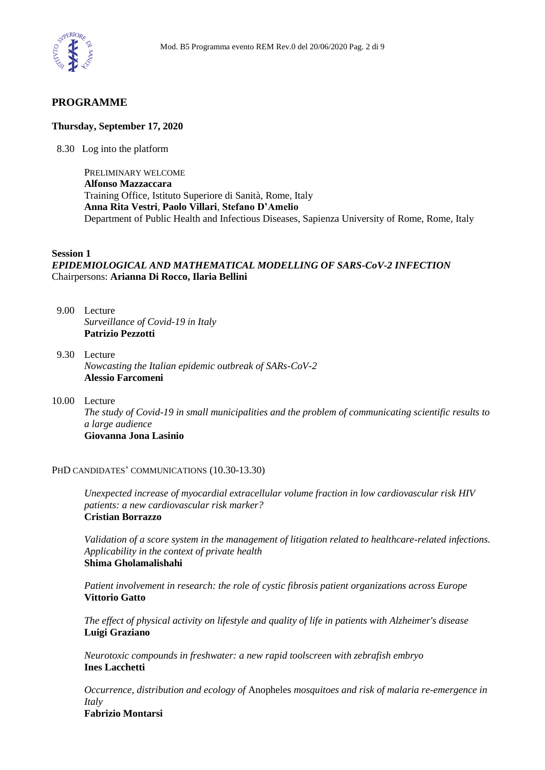

# **PROGRAMME**

### **Thursday, September 17, 2020**

8.30 Log into the platform

PRELIMINARY WELCOME **Alfonso Mazzaccara** Training Office, Istituto Superiore di Sanità, Rome, Italy **Anna Rita Vestri**, **Paolo Villari**, **Stefano D'Amelio** Department of Public Health and Infectious Diseases, Sapienza University of Rome, Rome, Italy

#### **Session 1**

# *EPIDEMIOLOGICAL AND MATHEMATICAL MODELLING OF SARS-CoV-2 INFECTION* Chairpersons: **Arianna Di Rocco, Ilaria Bellini**

- 9.00 Lecture *Surveillance of Covid-19 in Italy* **Patrizio Pezzotti**
- 9.30 Lecture *Nowcasting the Italian epidemic outbreak of SARs-CoV-2* **Alessio Farcomeni**
- 10.00 Lecture *The study of Covid-19 in small municipalities and the problem of communicating scientific results to a large audience* **Giovanna Jona Lasinio**

#### PHD CANDIDATES' COMMUNICATIONS (10.30-13.30)

*Unexpected increase of myocardial extracellular volume fraction in low cardiovascular risk HIV patients: a new cardiovascular risk marker?* **Cristian Borrazzo**

*Validation of a score system in the management of litigation related to healthcare-related infections. Applicability in the context of private health* **Shima Gholamalishahi**

*Patient involvement in research: the role of cystic fibrosis patient organizations across Europe* **Vittorio Gatto**

*The effect of physical activity on lifestyle and quality of life in patients with Alzheimer's disease* **Luigi Graziano**

*Neurotoxic compounds in freshwater: a new rapid toolscreen with zebrafish embryo* **Ines Lacchetti**

*Occurrence, distribution and ecology of* Anopheles *mosquitoes and risk of malaria re-emergence in Italy*

**Fabrizio Montarsi**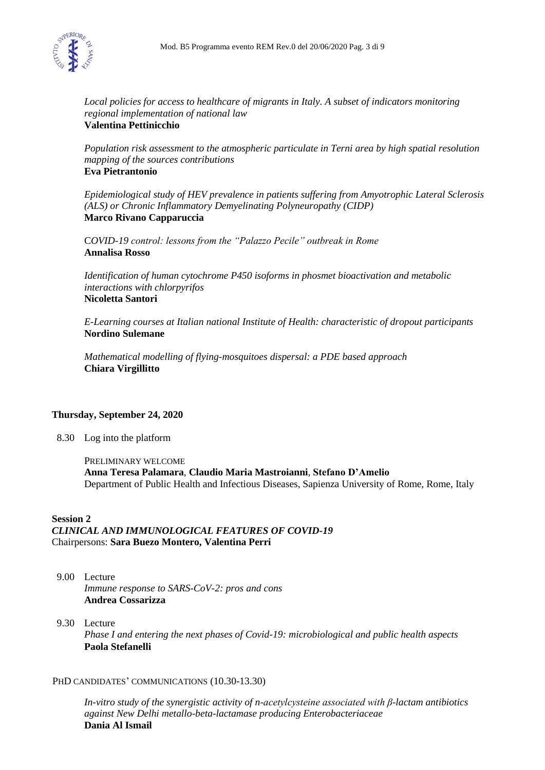

*Local policies for access to healthcare of migrants in Italy. A subset of indicators monitoring regional implementation of national law* **Valentina Pettinicchio**

*Population risk assessment to the atmospheric particulate in Terni area by high spatial resolution mapping of the sources contributions* **Eva Pietrantonio**

*Epidemiological study of HEV prevalence in patients suffering from Amyotrophic Lateral Sclerosis (ALS) or Chronic Inflammatory Demyelinating Polyneuropathy (CIDP)* **Marco Rivano Capparuccia**

C*OVID-19 control: lessons from the "Palazzo Pecile" outbreak in Rome* **Annalisa Rosso**

*Identification of human cytochrome P450 isoforms in phosmet bioactivation and metabolic interactions with chlorpyrifos* **Nicoletta Santori**

*E-Learning courses at Italian national Institute of Health: characteristic of dropout participants* **Nordino Sulemane**

*Mathematical modelling of flying-mosquitoes dispersal: a PDE based approach* **Chiara Virgillitto**

# **Thursday, September 24, 2020**

8.30 Log into the platform

PRELIMINARY WELCOME **Anna Teresa Palamara**, **Claudio Maria Mastroianni**, **Stefano D'Amelio** Department of Public Health and Infectious Diseases, Sapienza University of Rome, Rome, Italy

## **Session 2**

*CLINICAL AND IMMUNOLOGICAL FEATURES OF COVID-19*  Chairpersons: **Sara Buezo Montero, Valentina Perri** 

- 9.00 Lecture *Immune response to SARS-CoV-2: pros and cons* **Andrea Cossarizza**
- 9.30 Lecture *Phase I and entering the next phases of Covid-19: microbiological and public health aspects* **Paola Stefanelli**

## PHD CANDIDATES' COMMUNICATIONS (10.30-13.30)

*In-vitro study of the synergistic activity of n-acetylcysteine associated with β-lactam antibiotics against New Delhi metallo-beta-lactamase producing Enterobacteriaceae* **Dania Al Ismail**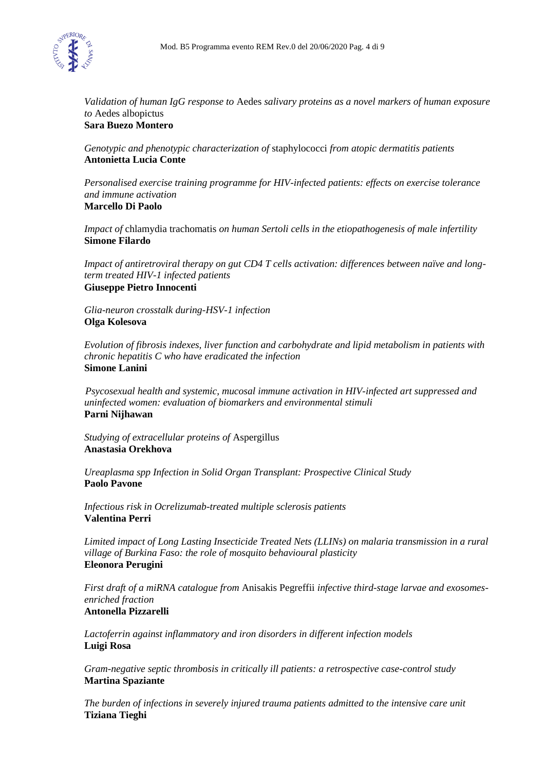

*Validation of human IgG response to* Aedes *salivary proteins as a novel markers of human exposure to* Aedes albopictus

**Sara Buezo Montero**

*Genotypic and phenotypic characterization of* staphylococci *from atopic dermatitis patients* **Antonietta Lucia Conte**

*Personalised exercise training programme for HIV-infected patients: effects on exercise tolerance and immune activation* **Marcello Di Paolo**

*Impact of* chlamydia trachomatis *on human Sertoli cells in the etiopathogenesis of male infertility* **Simone Filardo**

*Impact of antiretroviral therapy on gut CD4 T cells activation: differences between naïve and longterm treated HIV-1 infected patients*

**Giuseppe Pietro Innocenti**

*Glia-neuron crosstalk during-HSV-1 infection* **Olga Kolesova**

*Evolution of fibrosis indexes, liver function and carbohydrate and lipid metabolism in patients with chronic hepatitis C who have eradicated the infection* **Simone Lanini**

 *Psycosexual health and systemic, mucosal immune activation in HIV-infected art suppressed and uninfected women: evaluation of biomarkers and environmental stimuli* **Parni Nijhawan**

*Studying of extracellular proteins of* Aspergillus **Anastasia Orekhova**

*Ureaplasma spp Infection in Solid Organ Transplant: Prospective Clinical Study* **Paolo Pavone**

*Infectious risk in Ocrelizumab-treated multiple sclerosis patients* **Valentina Perri**

*Limited impact of Long Lasting Insecticide Treated Nets (LLINs) on malaria transmission in a rural village of Burkina Faso: the role of mosquito behavioural plasticity* **Eleonora Perugini**

*First draft of a miRNA catalogue from* Anisakis Pegreffii *infective third-stage larvae and exosomesenriched fraction* **Antonella Pizzarelli**

*Lactoferrin against inflammatory and iron disorders in different infection models* **Luigi Rosa**

*Gram-negative septic thrombosis in critically ill patients: a retrospective case-control study* **Martina Spaziante**

*The burden of infections in severely injured trauma patients admitted to the intensive care unit* **Tiziana Tieghi**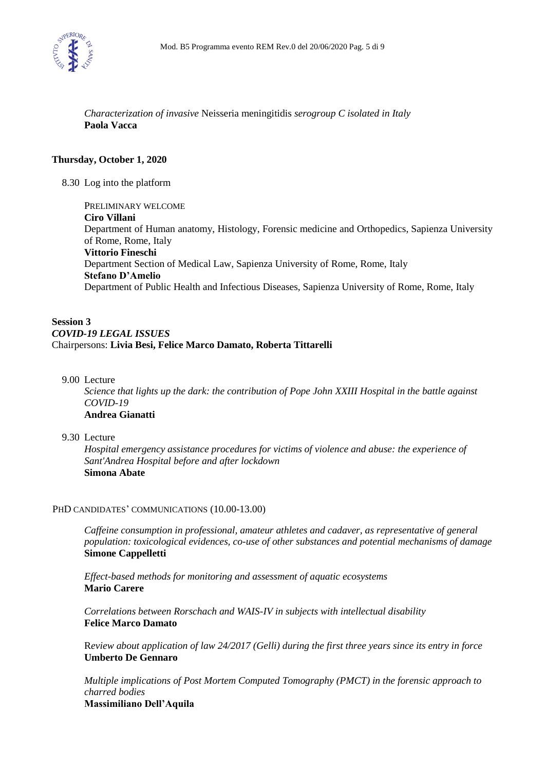

*Characterization of invasive* Neisseria meningitidis *serogroup C isolated in Italy* **Paola Vacca**

## **Thursday, October 1, 2020**

8.30 Log into the platform

PRELIMINARY WELCOME **Ciro Villani** Department of Human anatomy, Histology, Forensic medicine and Orthopedics, Sapienza University of Rome, Rome, Italy **Vittorio Fineschi**  Department Section of Medical Law, Sapienza University of Rome, Rome, Italy **Stefano D'Amelio** Department of Public Health and Infectious Diseases, Sapienza University of Rome, Rome, Italy

## **Session 3** *COVID-19 LEGAL ISSUES* Chairpersons: **Livia Besi, Felice Marco Damato, Roberta Tittarelli**

9.00 Lecture

*Science that lights up the dark: the contribution of Pope John XXIII Hospital in the battle against COVID-19* **Andrea Gianatti**

### 9.30 Lecture

*Hospital emergency assistance procedures for victims of violence and abuse: the experience of Sant'Andrea Hospital before and after lockdown* **Simona Abate**

#### PHD CANDIDATES' COMMUNICATIONS (10.00-13.00)

*Caffeine consumption in professional, amateur athletes and cadaver, as representative of general population: toxicological evidences, co-use of other substances and potential mechanisms of damage* **Simone Cappelletti**

*Effect-based methods for monitoring and assessment of aquatic ecosystems* **Mario Carere**

*Correlations between Rorschach and WAIS-IV in subjects with intellectual disability* **Felice Marco Damato**

R*eview about application of law 24/2017 (Gelli) during the first three years since its entry in force* **Umberto De Gennaro**

*Multiple implications of Post Mortem Computed Tomography (PMCT) in the forensic approach to charred bodies*

**Massimiliano Dell'Aquila**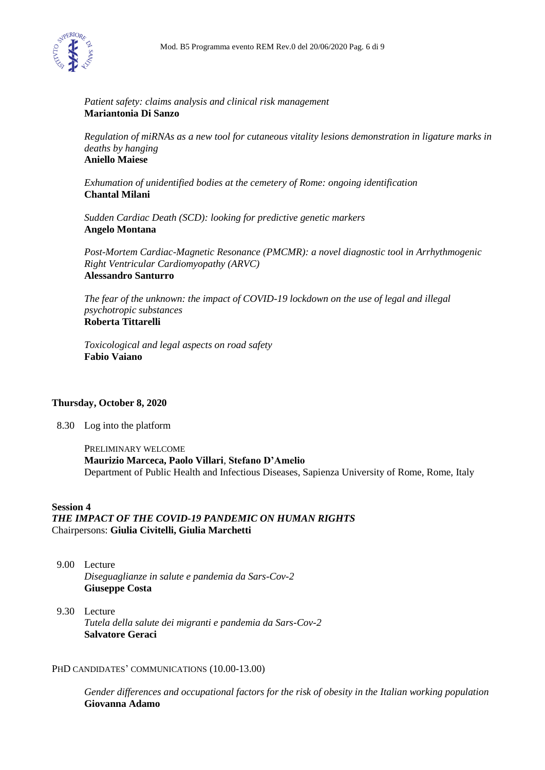

#### *Patient safety: claims analysis and clinical risk management* **Mariantonia Di Sanzo**

*Regulation of miRNAs as a new tool for cutaneous vitality lesions demonstration in ligature marks in deaths by hanging* **Aniello Maiese**

*Exhumation of unidentified bodies at the cemetery of Rome: ongoing identification* **Chantal Milani**

*Sudden Cardiac Death (SCD): looking for predictive genetic markers* **Angelo Montana**

*Post-Mortem Cardiac-Magnetic Resonance (PMCMR): a novel diagnostic tool in Arrhythmogenic Right Ventricular Cardiomyopathy (ARVC)* **Alessandro Santurro**

*The fear of the unknown: the impact of COVID-19 lockdown on the use of legal and illegal psychotropic substances* **Roberta Tittarelli**

*Toxicological and legal aspects on road safety* **Fabio Vaiano**

## **Thursday, October 8, 2020**

8.30 Log into the platform

PRELIMINARY WELCOME **Maurizio Marceca, Paolo Villari**, **Stefano D'Amelio** Department of Public Health and Infectious Diseases, Sapienza University of Rome, Rome, Italy

# **Session 4**

*THE IMPACT OF THE COVID-19 PANDEMIC ON HUMAN RIGHTS*  Chairpersons: **Giulia Civitelli, Giulia Marchetti**

- 9.00 Lecture *Diseguaglianze in salute e pandemia da Sars-Cov-2* **Giuseppe Costa**
- 9.30 Lecture *Tutela della salute dei migranti e pandemia da Sars-Cov-2* **Salvatore Geraci**

#### PHD CANDIDATES' COMMUNICATIONS (10.00-13.00)

*Gender differences and occupational factors for the risk of obesity in the Italian working population* **Giovanna Adamo**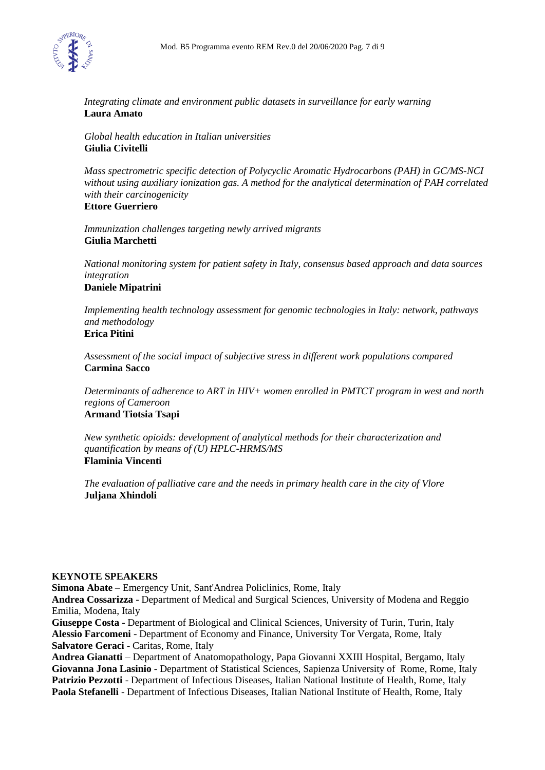

*Integrating climate and environment public datasets in surveillance for early warning* **Laura Amato**

*Global health education in Italian universities* **Giulia Civitelli**

*Mass spectrometric specific detection of Polycyclic Aromatic Hydrocarbons (PAH) in GC/MS-NCI without using auxiliary ionization gas. A method for the analytical determination of PAH correlated with their carcinogenicity*

**Ettore Guerriero**

*Immunization challenges targeting newly arrived migrants* **Giulia Marchetti**

*National monitoring system for patient safety in Italy, consensus based approach and data sources integration*

# **Daniele Mipatrini**

*Implementing health technology assessment for genomic technologies in Italy: network, pathways and methodology* **Erica Pitini**

*Assessment of the social impact of subjective stress in different work populations compared* **Carmina Sacco**

*Determinants of adherence to ART in HIV+ women enrolled in PMTCT program in west and north regions of Cameroon* **Armand Tiotsia Tsapi**

*New synthetic opioids: development of analytical methods for their characterization and quantification by means of (U) HPLC-HRMS/MS* **Flaminia Vincenti**

*The evaluation of palliative care and the needs in primary health care in the city of Vlore* **Juljana Xhindoli**

## **KEYNOTE SPEAKERS**

**Simona Abate** – Emergency Unit, Sant'Andrea Policlinics, Rome, Italy **Andrea Cossarizza** - Department of Medical and Surgical Sciences, University of Modena and Reggio Emilia, Modena, Italy **Giuseppe Costa** - Department of Biological and Clinical Sciences, University of Turin, Turin, Italy **Alessio Farcomeni** - Department of Economy and Finance, University Tor Vergata, Rome, Italy **Salvatore Geraci** - Caritas, Rome, Italy

**Andrea Gianatti** – Department of Anatomopathology, Papa Giovanni XXIII Hospital, Bergamo, Italy **Giovanna Jona Lasinio** - Department of Statistical Sciences, Sapienza University of Rome, Rome, Italy **Patrizio Pezzotti** - Department of Infectious Diseases, Italian National Institute of Health, Rome, Italy **Paola Stefanelli** - Department of Infectious Diseases, Italian National Institute of Health, Rome, Italy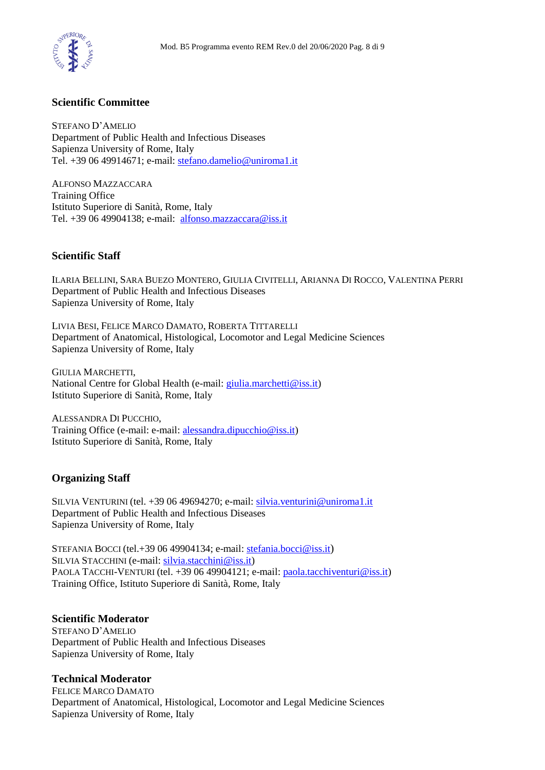

# **Scientific Committee**

STEFANO D'AMELIO Department of Public Health and Infectious Diseases Sapienza University of Rome, Italy Tel. +39 06 49914671; e-mail: [stefano.damelio@uniroma1.it](mailto:stefano.damelio@uniroma1.it)

ALFONSO MAZZACCARA Training Office Istituto Superiore di Sanità, Rome, Italy Tel. +39 06 49904138; e-mail: [alfonso.mazzaccara@iss.it](mailto:alfonso.mazzaccara@iss.it)

## **Scientific Staff**

ILARIA BELLINI, SARA BUEZO MONTERO, GIULIA CIVITELLI, ARIANNA DI ROCCO, VALENTINA PERRI Department of Public Health and Infectious Diseases Sapienza University of Rome, Italy

LIVIA BESI, FELICE MARCO DAMATO, ROBERTA TITTARELLI Department of Anatomical, Histological, Locomotor and Legal Medicine Sciences Sapienza University of Rome, Italy

GIULIA MARCHETTI, National Centre for Global Health (e-mail: [giulia.marchetti@iss.it\)](mailto:giulia.marchetti@iss.it) Istituto Superiore di Sanità, Rome, Italy

ALESSANDRA DI PUCCHIO, Training Office (e-mail: e-mail: [alessandra.dipucchio@iss.it\)](mailto:alessandra.dipucchio@iss.it) Istituto Superiore di Sanità, Rome, Italy

# **Organizing Staff**

SILVIA VENTURINI (tel. +39 06 49694270; e-mail: [silvia.venturini@uniroma1.it](mailto:silvia.venturini@uniroma1.it) Department of Public Health and Infectious Diseases Sapienza University of Rome, Italy

STEFANIA BOCCI (tel.+39 06 49904134; e-mail: [stefania.bocci@iss.it](mailto:stefania.bocci@iss.it)) SILVIA STACCHINI (e-mail: [silvia.stacchini@iss.it\)](mailto:silvia.stacchini@iss.it) PAOLA TACCHI-VENTURI (tel. +39 06 49904121; e-mail: [paola.tacchiventuri@iss.it\)](mailto:paola.tacchiventuri@iss.it) Training Office, Istituto Superiore di Sanità, Rome, Italy

## **Scientific Moderator**

STEFANO D'AMELIO Department of Public Health and Infectious Diseases Sapienza University of Rome, Italy

# **Technical Moderator**

FELICE MARCO DAMATO Department of Anatomical, Histological, Locomotor and Legal Medicine Sciences Sapienza University of Rome, Italy